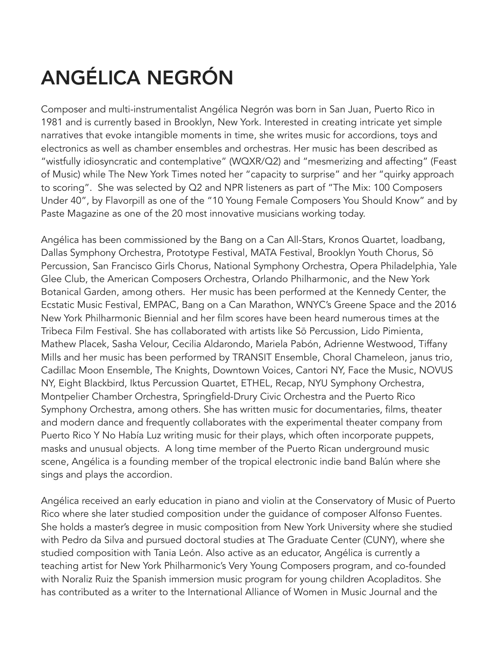## ANGÉLICA NEGRÓN

Composer and multi-instrumentalist Angélica Negrón was born in San Juan, Puerto Rico in 1981 and is currently based in Brooklyn, New York. Interested in creating intricate yet simple narratives that evoke intangible moments in time, she writes music for accordions, toys and electronics as well as chamber ensembles and orchestras. Her music has been described as "wistfully idiosyncratic and contemplative" (WQXR/Q2) and "mesmerizing and affecting" (Feast of Music) while The New York Times noted her "capacity to surprise" and her "quirky approach to scoring". She was selected by Q2 and NPR listeners as part of "The Mix: 100 Composers Under 40", by Flavorpill as one of the "10 Young Female Composers You Should Know" and by Paste Magazine as one of the 20 most innovative musicians working today.

Angélica has been commissioned by the Bang on a Can All-Stars, Kronos Quartet, loadbang, Dallas Symphony Orchestra, Prototype Festival, MATA Festival, Brooklyn Youth Chorus, Sō Percussion, San Francisco Girls Chorus, National Symphony Orchestra, Opera Philadelphia, Yale Glee Club, the American Composers Orchestra, Orlando Philharmonic, and the New York Botanical Garden, among others. Her music has been performed at the Kennedy Center, the Ecstatic Music Festival, EMPAC, Bang on a Can Marathon, WNYC's Greene Space and the 2016 New York Philharmonic Biennial and her film scores have been heard numerous times at the Tribeca Film Festival. She has collaborated with artists like Sō Percussion, Lido Pimienta, Mathew Placek, Sasha Velour, Cecilia Aldarondo, Mariela Pabón, Adrienne Westwood, Tiffany Mills and her music has been performed by TRANSIT Ensemble, Choral Chameleon, janus trio, Cadillac Moon Ensemble, The Knights, Downtown Voices, Cantori NY, Face the Music, NOVUS NY, Eight Blackbird, Iktus Percussion Quartet, ETHEL, Recap, NYU Symphony Orchestra, Montpelier Chamber Orchestra, Springfield-Drury Civic Orchestra and the Puerto Rico Symphony Orchestra, among others. She has written music for documentaries, films, theater and modern dance and frequently collaborates with the experimental theater company from Puerto Rico Y No Había Luz writing music for their plays, which often incorporate puppets, masks and unusual objects. A long time member of the Puerto Rican underground music scene, Angélica is a founding member of the tropical electronic indie band Balún where she sings and plays the accordion.

Angélica received an early education in piano and violin at the Conservatory of Music of Puerto Rico where she later studied composition under the guidance of composer Alfonso Fuentes. She holds a master's degree in music composition from New York University where she studied with Pedro da Silva and pursued doctoral studies at The Graduate Center (CUNY), where she studied composition with Tania León. Also active as an educator, Angélica is currently a teaching artist for New York Philharmonic's Very Young Composers program, and co-founded with Noraliz Ruiz the Spanish immersion music program for young children Acopladitos. She has contributed as a writer to the International Alliance of Women in Music Journal and the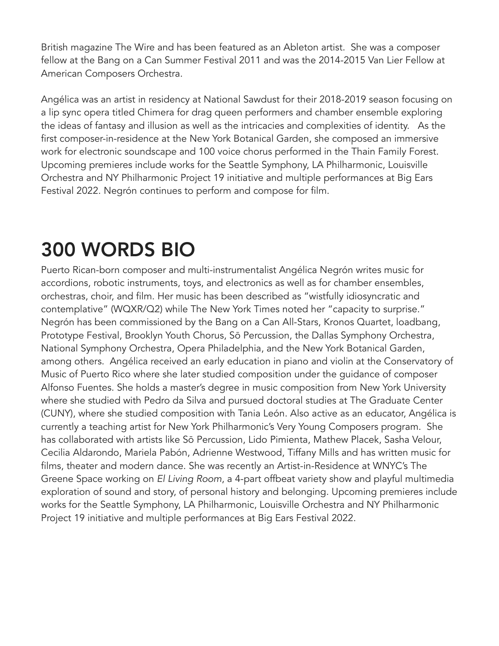British magazine The Wire and has been featured as an Ableton artist. She was a composer fellow at the Bang on a Can Summer Festival 2011 and was the 2014-2015 Van Lier Fellow at American Composers Orchestra.

Angélica was an artist in residency at National Sawdust for their 2018-2019 season focusing on a lip sync opera titled Chimera for drag queen performers and chamber ensemble exploring the ideas of fantasy and illusion as well as the intricacies and complexities of identity. As the first composer-in-residence at the New York Botanical Garden, she composed an immersive work for electronic soundscape and 100 voice chorus performed in the Thain Family Forest. Upcoming premieres include works for the Seattle Symphony, LA Philharmonic, Louisville Orchestra and NY Philharmonic Project 19 initiative and multiple performances at Big Ears Festival 2022. Negrón continues to perform and compose for film.

## 300 WORDS BIO

Puerto Rican-born composer and multi-instrumentalist Angélica Negrón writes music for accordions, robotic instruments, toys, and electronics as well as for chamber ensembles, orchestras, choir, and film. Her music has been described as "wistfully idiosyncratic and contemplative" (WQXR/Q2) while The New York Times noted her "capacity to surprise." Negrón has been commissioned by the Bang on a Can All-Stars, Kronos Quartet, loadbang, Prototype Festival, Brooklyn Youth Chorus, Sō Percussion, the Dallas Symphony Orchestra, National Symphony Orchestra, Opera Philadelphia, and the New York Botanical Garden, among others. Angélica received an early education in piano and violin at the Conservatory of Music of Puerto Rico where she later studied composition under the guidance of composer Alfonso Fuentes. She holds a master's degree in music composition from New York University where she studied with Pedro da Silva and pursued doctoral studies at The Graduate Center (CUNY), where she studied composition with Tania León. Also active as an educator, Angélica is currently a teaching artist for New York Philharmonic's Very Young Composers program. She has collaborated with artists like Sō Percussion, Lido Pimienta, Mathew Placek, Sasha Velour, Cecilia Aldarondo, Mariela Pabón, Adrienne Westwood, Tiffany Mills and has written music for films, theater and modern dance. She was recently an Artist-in-Residence at WNYC's The Greene Space working on *El Living Room*, a 4-part offbeat variety show and playful multimedia exploration of sound and story, of personal history and belonging. Upcoming premieres include works for the Seattle Symphony, LA Philharmonic, Louisville Orchestra and NY Philharmonic Project 19 initiative and multiple performances at Big Ears Festival 2022.